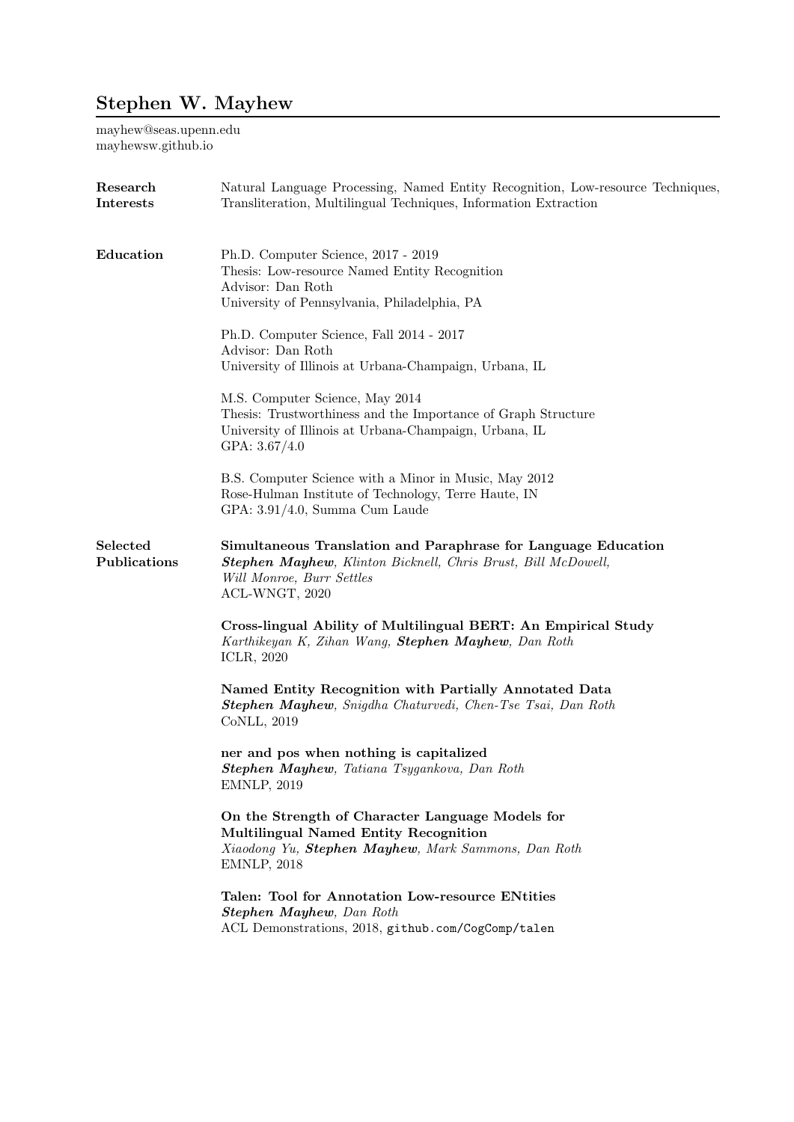## **Stephen W. Mayhew**

mayhew@seas.upenn.edu mayhewsw.github.io

| Research<br><b>Interests</b> | Natural Language Processing, Named Entity Recognition, Low-resource Techniques,<br>Transliteration, Multilingual Techniques, Information Extraction                            |
|------------------------------|--------------------------------------------------------------------------------------------------------------------------------------------------------------------------------|
| Education                    | Ph.D. Computer Science, 2017 - 2019<br>Thesis: Low-resource Named Entity Recognition<br>Advisor: Dan Roth<br>University of Pennsylvania, Philadelphia, PA                      |
|                              | Ph.D. Computer Science, Fall 2014 - 2017<br>Advisor: Dan Roth<br>University of Illinois at Urbana-Champaign, Urbana, IL                                                        |
|                              | M.S. Computer Science, May 2014<br>Thesis: Trustworthiness and the Importance of Graph Structure<br>University of Illinois at Urbana-Champaign, Urbana, IL<br>GPA: $3.67/4.0$  |
|                              | B.S. Computer Science with a Minor in Music, May 2012<br>Rose-Hulman Institute of Technology, Terre Haute, IN<br>$GPA: 3.91/4.0$ , Summa Cum Laude                             |
| Selected<br>Publications     | Simultaneous Translation and Paraphrase for Language Education<br>Stephen Mayhew, Klinton Bicknell, Chris Brust, Bill McDowell,<br>Will Monroe, Burr Settles<br>ACL-WNGT, 2020 |
|                              | Cross-lingual Ability of Multilingual BERT: An Empirical Study<br>Karthikeyan K, Zihan Wang, Stephen Mayhew, Dan Roth<br>ICLR, 2020                                            |
|                              | Named Entity Recognition with Partially Annotated Data<br>Stephen Mayhew, Snigdha Chaturvedi, Chen-Tse Tsai, Dan Roth<br>CoNLL, 2019                                           |
|                              | ner and pos when nothing is capitalized<br>Stephen Mayhew, Tatiana Tsygankova, Dan Roth<br><b>EMNLP, 2019</b>                                                                  |
|                              | On the Strength of Character Language Models for<br><b>Multilingual Named Entity Recognition</b><br>Xiaodong Yu, Stephen Mayhew, Mark Sammons, Dan Roth<br><b>EMNLP, 2018</b>  |
|                              | Talen: Tool for Annotation Low-resource ENtities<br><b>Stephen Mayhew</b> , Dan Roth<br>ACL Demonstrations, 2018, github.com/CogComp/talen                                     |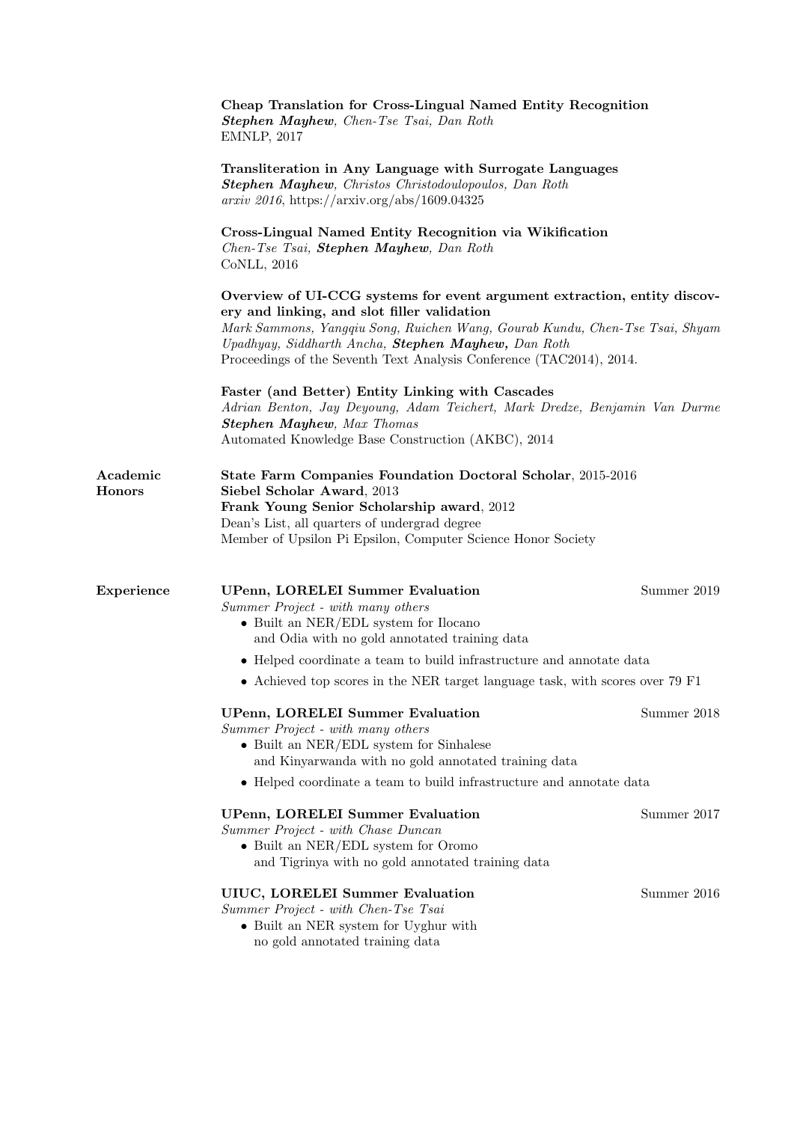|                           | Cheap Translation for Cross-Lingual Named Entity Recognition<br>Stephen Mayhew, Chen-Tse Tsai, Dan Roth<br><b>EMNLP, 2017</b><br>Transliteration in Any Language with Surrogate Languages<br>Stephen Mayhew, Christos Christodoulopoulos, Dan Roth<br>arxiv 2016, https://arxiv.org/abs/1609.04325                                     |             |  |
|---------------------------|----------------------------------------------------------------------------------------------------------------------------------------------------------------------------------------------------------------------------------------------------------------------------------------------------------------------------------------|-------------|--|
|                           |                                                                                                                                                                                                                                                                                                                                        |             |  |
|                           | Cross-Lingual Named Entity Recognition via Wikification<br>Chen-Tse Tsai, Stephen Mayhew, Dan Roth<br>CoNLL, 2016                                                                                                                                                                                                                      |             |  |
|                           | Overview of UI-CCG systems for event argument extraction, entity discov-<br>ery and linking, and slot filler validation<br>Mark Sammons, Yangqiu Song, Ruichen Wang, Gourab Kundu, Chen-Tse Tsai, Shyam<br>Upadhyay, Siddharth Ancha, Stephen Mayhew, Dan Roth<br>Proceedings of the Seventh Text Analysis Conference (TAC2014), 2014. |             |  |
|                           | Faster (and Better) Entity Linking with Cascades<br>Adrian Benton, Jay Deyoung, Adam Teichert, Mark Dredze, Benjamin Van Durme<br><b>Stephen Mayhew</b> , Max Thomas<br>Automated Knowledge Base Construction (AKBC), 2014                                                                                                             |             |  |
| Academic<br><b>Honors</b> | State Farm Companies Foundation Doctoral Scholar, 2015-2016<br>Siebel Scholar Award, 2013<br>Frank Young Senior Scholarship award, 2012<br>Dean's List, all quarters of undergrad degree<br>Member of Upsilon Pi Epsilon, Computer Science Honor Society                                                                               |             |  |
| Experience                | <b>UPenn, LORELEI Summer Evaluation</b><br>Summer Project - with many others<br>• Built an NER/EDL system for Ilocano<br>and Odia with no gold annotated training data                                                                                                                                                                 | Summer 2019 |  |
|                           | • Helped coordinate a team to build infrastructure and annotate data                                                                                                                                                                                                                                                                   |             |  |
|                           | • Achieved top scores in the NER target language task, with scores over 79 F1                                                                                                                                                                                                                                                          |             |  |
|                           | <b>UPenn, LORELEI Summer Evaluation</b><br>Summer Project - with many others<br>• Built an NER/EDL system for Sinhalese<br>and Kinyarwanda with no gold annotated training data                                                                                                                                                        | Summer 2018 |  |
|                           | • Helped coordinate a team to build infrastructure and annotate data                                                                                                                                                                                                                                                                   |             |  |
|                           | <b>UPenn, LORELEI Summer Evaluation</b><br>Summer Project - with Chase Duncan<br>• Built an NER/EDL system for Oromo<br>and Tigrinya with no gold annotated training data                                                                                                                                                              | Summer 2017 |  |
|                           | UIUC, LORELEI Summer Evaluation<br>Summer Project - with Chen-Tse Tsai<br>• Built an NER system for Uyghur with<br>no gold annotated training data                                                                                                                                                                                     | Summer 2016 |  |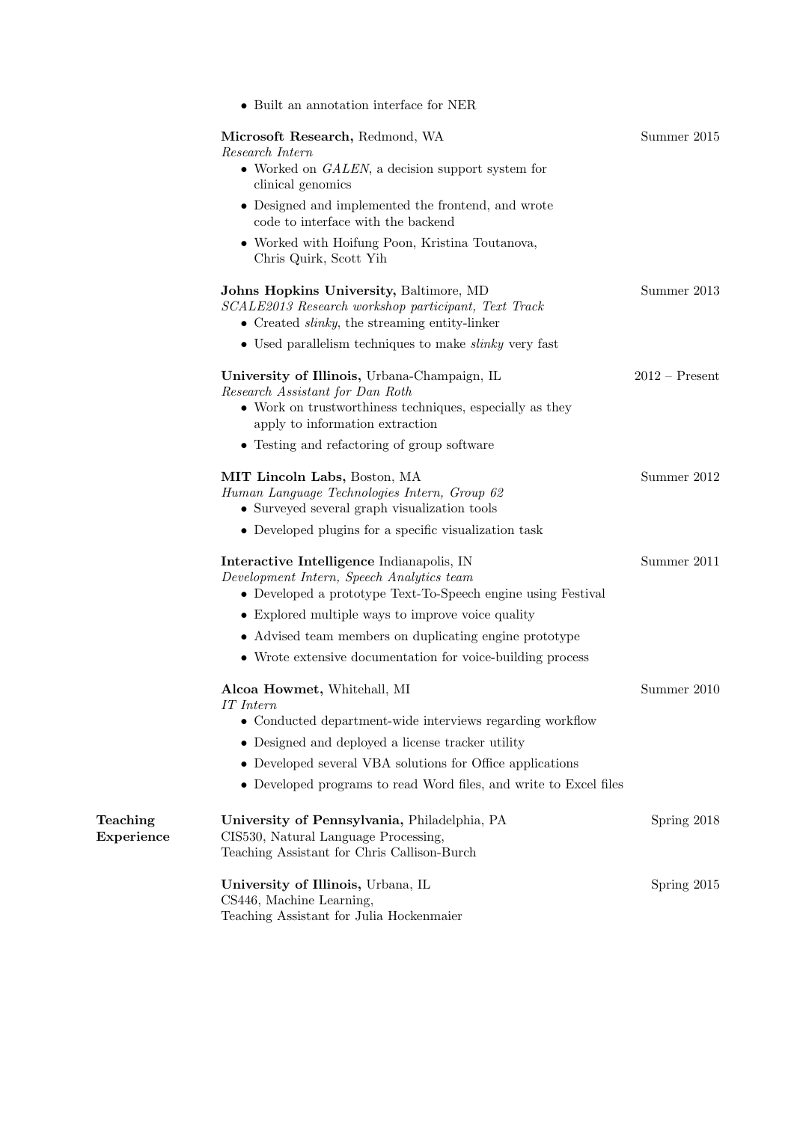|                        | • Built an annotation interface for NER                                                                                                                                        |                  |
|------------------------|--------------------------------------------------------------------------------------------------------------------------------------------------------------------------------|------------------|
|                        | Microsoft Research, Redmond, WA<br>Research Intern<br>$\bullet$ Worked on <i>GALEN</i> , a decision support system for<br>clinical genomics                                    | Summer 2015      |
|                        | • Designed and implemented the frontend, and wrote<br>code to interface with the backend                                                                                       |                  |
|                        | • Worked with Hoifung Poon, Kristina Toutanova,<br>Chris Quirk, Scott Yih                                                                                                      |                  |
|                        | Johns Hopkins University, Baltimore, MD<br>SCALE2013 Research workshop participant, Text Track<br>$\bullet$ Created <i>slinky</i> , the streaming entity-linker                | Summer 2013      |
|                        | $\bullet$ Used parallelism techniques to make <i>slinky</i> very fast                                                                                                          |                  |
|                        | University of Illinois, Urbana-Champaign, IL<br>Research Assistant for Dan Roth<br>• Work on trustworthiness techniques, especially as they<br>apply to information extraction | $2012$ – Present |
|                        | • Testing and refactoring of group software                                                                                                                                    |                  |
|                        | MIT Lincoln Labs, Boston, MA<br>Human Language Technologies Intern, Group 62<br>• Surveyed several graph visualization tools                                                   | Summer 2012      |
|                        | • Developed plugins for a specific visualization task                                                                                                                          |                  |
|                        | Interactive Intelligence Indianapolis, IN<br>Development Intern, Speech Analytics team<br>• Developed a prototype Text-To-Speech engine using Festival                         | Summer 2011      |
|                        | • Explored multiple ways to improve voice quality                                                                                                                              |                  |
|                        | • Advised team members on duplicating engine prototype                                                                                                                         |                  |
|                        | • Wrote extensive documentation for voice-building process                                                                                                                     |                  |
|                        | Alcoa Howmet, Whitehall, MI<br>IT Intern<br>• Conducted department-wide interviews regarding workflow                                                                          | Summer 2010      |
|                        | • Designed and deployed a license tracker utility                                                                                                                              |                  |
|                        | • Developed several VBA solutions for Office applications                                                                                                                      |                  |
|                        | • Developed programs to read Word files, and write to Excel files                                                                                                              |                  |
| Teaching<br>Experience | University of Pennsylvania, Philadelphia, PA<br>CIS530, Natural Language Processing,<br>Teaching Assistant for Chris Callison-Burch                                            | Spring 2018      |
|                        | University of Illinois, Urbana, IL<br>CS446, Machine Learning,<br>Teaching Assistant for Julia Hockenmaier                                                                     | Spring 2015      |